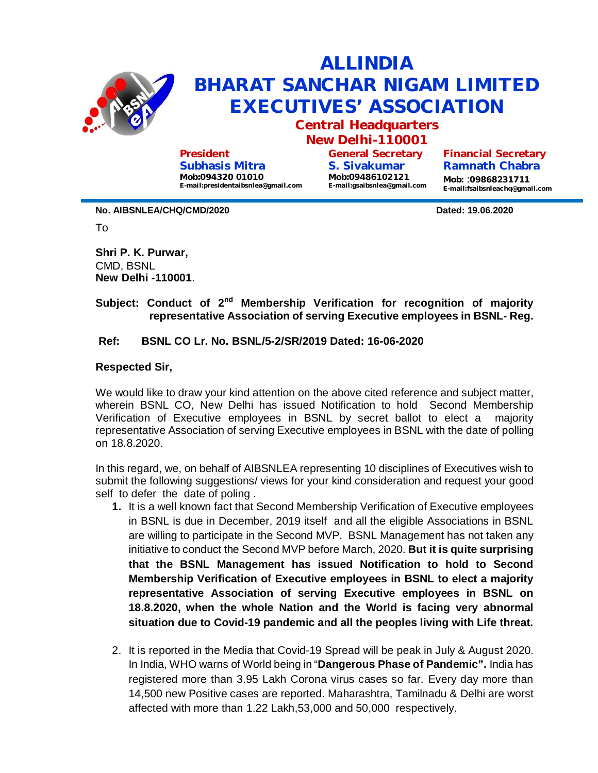

**President Subhasis Mitra Mob:094320 01010 E-mail:presidentaibsnlea@gmail.com**

**General Secretary S. Sivakumar Mob:09486102121 E-mail:gsaibsnlea@gmail.com**

**Ramnath Chabra Mob:** :**09868231711 E-mail:fsaibsnleachq@gmail.com**

**No. AIBSNLEA/CHQ/CMD/2020 Dated: 19.06.2020**

To

**Shri P. K. Purwar,**  CMD, BSNL **New Delhi -110001**.

## **Subject: Conduct of 2nd Membership Verification for recognition of majority representative Association of serving Executive employees in BSNL- Reg.**

## **Ref: BSNL CO Lr. No. BSNL/5-2/SR/2019 Dated: 16-06-2020**

## **Respected Sir,**

We would like to draw your kind attention on the above cited reference and subject matter, wherein BSNL CO, New Delhi has issued Notification to hold Second Membership Verification of Executive employees in BSNL by secret ballot to elect a majority representative Association of serving Executive employees in BSNL with the date of polling on 18.8.2020.

In this regard, we, on behalf of AIBSNLEA representing 10 disciplines of Executives wish to submit the following suggestions/ views for your kind consideration and request your good self to defer the date of poling .

- **1.** It is a well known fact that Second Membership Verification of Executive employees in BSNL is due in December, 2019 itself and all the eligible Associations in BSNL are willing to participate in the Second MVP. BSNL Management has not taken any initiative to conduct the Second MVP before March, 2020. **But it is quite surprising that the BSNL Management has issued Notification to hold to Second Membership Verification of Executive employees in BSNL to elect a majority representative Association of serving Executive employees in BSNL on 18.8.2020, when the whole Nation and the World is facing very abnormal situation due to Covid-19 pandemic and all the peoples living with Life threat.**
- 2. It is reported in the Media that Covid-19 Spread will be peak in July & August 2020. In India, WHO warns of World being in "**Dangerous Phase of Pandemic".** India has registered more than 3.95 Lakh Corona virus cases so far. Every day more than 14,500 new Positive cases are reported. Maharashtra, Tamilnadu & Delhi are worst affected with more than 1.22 Lakh,53,000 and 50,000 respectively.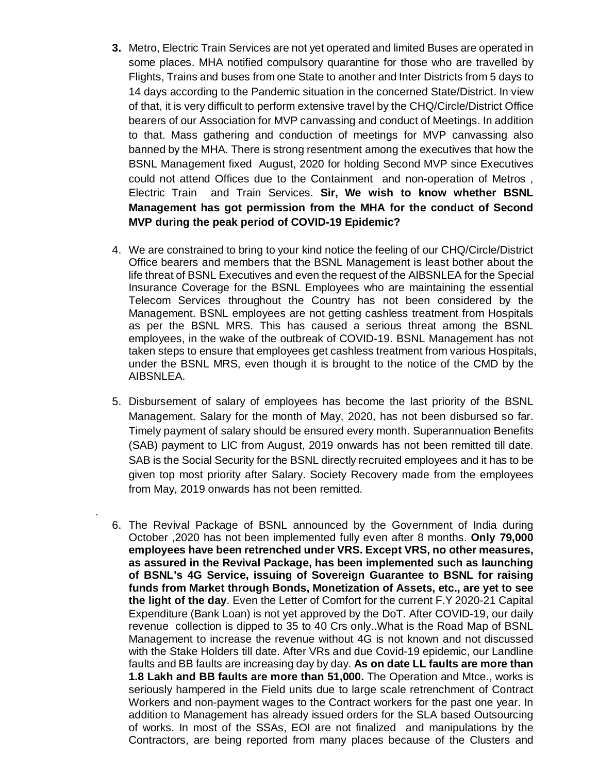- **3.** Metro, Electric Train Services are not yet operated and limited Buses are operated in some places. MHA notified compulsory quarantine for those who are travelled by Flights, Trains and buses from one State to another and Inter Districts from 5 days to 14 days according to the Pandemic situation in the concerned State/District. In view of that, it is very difficult to perform extensive travel by the CHQ/Circle/District Office bearers of our Association for MVP canvassing and conduct of Meetings. In addition to that. Mass gathering and conduction of meetings for MVP canvassing also banned by the MHA. There is strong resentment among the executives that how the BSNL Management fixed August, 2020 for holding Second MVP since Executives could not attend Offices due to the Containment and non-operation of Metros , Electric Train and Train Services. **Sir, We wish to know whether BSNL Management has got permission from the MHA for the conduct of Second MVP during the peak period of COVID-19 Epidemic?**
- 4. We are constrained to bring to your kind notice the feeling of our CHQ/Circle/District Office bearers and members that the BSNL Management is least bother about the life threat of BSNL Executives and even the request of the AIBSNLEA for the Special Insurance Coverage for the BSNL Employees who are maintaining the essential Telecom Services throughout the Country has not been considered by the Management. BSNL employees are not getting cashless treatment from Hospitals as per the BSNL MRS. This has caused a serious threat among the BSNL employees, in the wake of the outbreak of COVID-19. BSNL Management has not taken steps to ensure that employees get cashless treatment from various Hospitals, under the BSNL MRS, even though it is brought to the notice of the CMD by the AIBSNLEA.
- 5. Disbursement of salary of employees has become the last priority of the BSNL Management. Salary for the month of May, 2020, has not been disbursed so far. Timely payment of salary should be ensured every month. Superannuation Benefits (SAB) payment to LIC from August, 2019 onwards has not been remitted till date. SAB is the Social Security for the BSNL directly recruited employees and it has to be given top most priority after Salary. Society Recovery made from the employees from May, 2019 onwards has not been remitted.

.

6. The Revival Package of BSNL announced by the Government of India during October ,2020 has not been implemented fully even after 8 months. **Only 79,000 employees have been retrenched under VRS. Except VRS, no other measures, as assured in the Revival Package, has been implemented such as launching of BSNL's 4G Service, issuing of Sovereign Guarantee to BSNL for raising funds from Market through Bonds, Monetization of Assets, etc., are yet to see the light of the day**. Even the Letter of Comfort for the current F.Y 2020-21 Capital Expenditure (Bank Loan) is not yet approved by the DoT. After COVID-19, our daily revenue collection is dipped to 35 to 40 Crs only..What is the Road Map of BSNL Management to increase the revenue without 4G is not known and not discussed with the Stake Holders till date. After VRs and due Covid-19 epidemic, our Landline faults and BB faults are increasing day by day. **As on date LL faults are more than 1.8 Lakh and BB faults are more than 51,000.** The Operation and Mtce., works is seriously hampered in the Field units due to large scale retrenchment of Contract Workers and non-payment wages to the Contract workers for the past one year. In addition to Management has already issued orders for the SLA based Outsourcing of works. In most of the SSAs, EOI are not finalized and manipulations by the Contractors, are being reported from many places because of the Clusters and